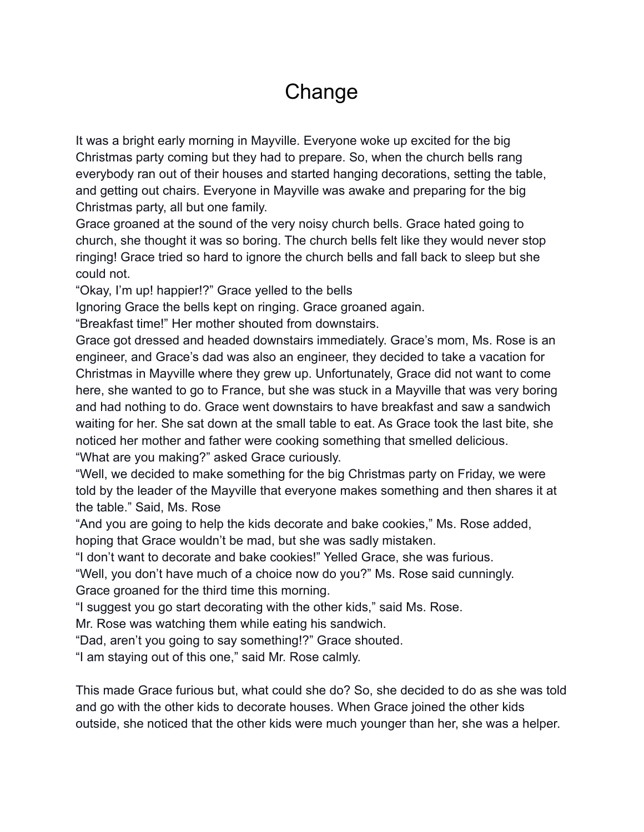## **Change**

It was a bright early morning in Mayville. Everyone woke up excited for the big Christmas party coming but they had to prepare. So, when the church bells rang everybody ran out of their houses and started hanging decorations, setting the table, and getting out chairs. Everyone in Mayville was awake and preparing for the big Christmas party, all but one family.

Grace groaned at the sound of the very noisy church bells. Grace hated going to church, she thought it was so boring. The church bells felt like they would never stop ringing! Grace tried so hard to ignore the church bells and fall back to sleep but she could not.

"Okay, I'm up! happier!?" Grace yelled to the bells

Ignoring Grace the bells kept on ringing. Grace groaned again.

"Breakfast time!" Her mother shouted from downstairs.

Grace got dressed and headed downstairs immediately. Grace's mom, Ms. Rose is an engineer, and Grace's dad was also an engineer, they decided to take a vacation for Christmas in Mayville where they grew up. Unfortunately, Grace did not want to come here, she wanted to go to France, but she was stuck in a Mayville that was very boring and had nothing to do. Grace went downstairs to have breakfast and saw a sandwich waiting for her. She sat down at the small table to eat. As Grace took the last bite, she noticed her mother and father were cooking something that smelled delicious. "What are you making?" asked Grace curiously.

"Well, we decided to make something for the big Christmas party on Friday, we were told by the leader of the Mayville that everyone makes something and then shares it at the table." Said, Ms. Rose

"And you are going to help the kids decorate and bake cookies," Ms. Rose added, hoping that Grace wouldn't be mad, but she was sadly mistaken.

"I don't want to decorate and bake cookies!" Yelled Grace, she was furious.

"Well, you don't have much of a choice now do you?" Ms. Rose said cunningly. Grace groaned for the third time this morning.

"I suggest you go start decorating with the other kids," said Ms. Rose.

Mr. Rose was watching them while eating his sandwich.

"Dad, aren't you going to say something!?" Grace shouted.

"I am staying out of this one," said Mr. Rose calmly.

This made Grace furious but, what could she do? So, she decided to do as she was told and go with the other kids to decorate houses. When Grace joined the other kids outside, she noticed that the other kids were much younger than her, she was a helper.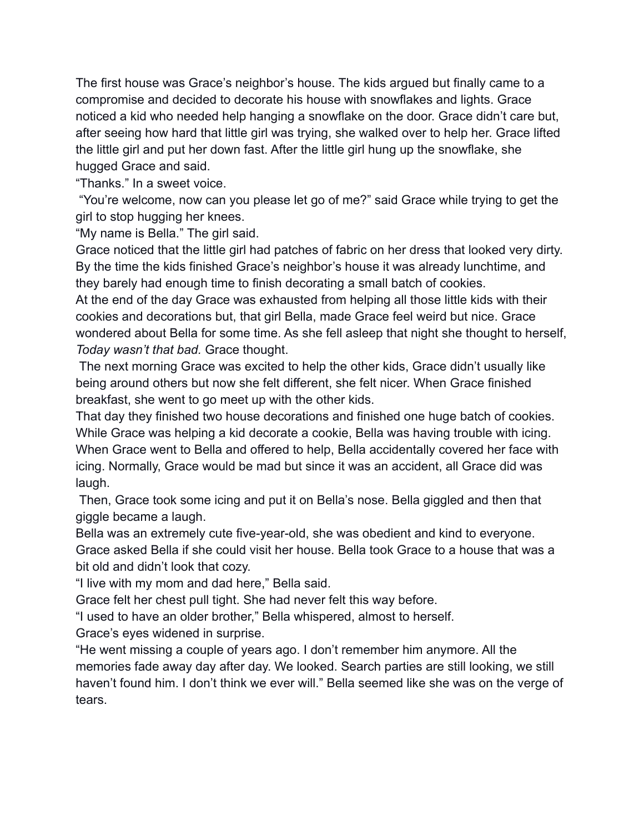The first house was Grace's neighbor's house. The kids argued but finally came to a compromise and decided to decorate his house with snowflakes and lights. Grace noticed a kid who needed help hanging a snowflake on the door. Grace didn't care but, after seeing how hard that little girl was trying, she walked over to help her. Grace lifted the little girl and put her down fast. After the little girl hung up the snowflake, she hugged Grace and said.

"Thanks." In a sweet voice.

"You're welcome, now can you please let go of me?" said Grace while trying to get the girl to stop hugging her knees.

"My name is Bella." The girl said.

Grace noticed that the little girl had patches of fabric on her dress that looked very dirty. By the time the kids finished Grace's neighbor's house it was already lunchtime, and they barely had enough time to finish decorating a small batch of cookies.

At the end of the day Grace was exhausted from helping all those little kids with their cookies and decorations but, that girl Bella, made Grace feel weird but nice. Grace wondered about Bella for some time. As she fell asleep that night she thought to herself, *Today wasn't that bad.* Grace thought.

The next morning Grace was excited to help the other kids, Grace didn't usually like being around others but now she felt different, she felt nicer. When Grace finished breakfast, she went to go meet up with the other kids.

That day they finished two house decorations and finished one huge batch of cookies. While Grace was helping a kid decorate a cookie, Bella was having trouble with icing. When Grace went to Bella and offered to help, Bella accidentally covered her face with icing. Normally, Grace would be mad but since it was an accident, all Grace did was laugh.

Then, Grace took some icing and put it on Bella's nose. Bella giggled and then that giggle became a laugh.

Bella was an extremely cute five-year-old, she was obedient and kind to everyone. Grace asked Bella if she could visit her house. Bella took Grace to a house that was a bit old and didn't look that cozy.

"I live with my mom and dad here," Bella said.

Grace felt her chest pull tight. She had never felt this way before.

"I used to have an older brother," Bella whispered, almost to herself.

Grace's eyes widened in surprise.

"He went missing a couple of years ago. I don't remember him anymore. All the memories fade away day after day. We looked. Search parties are still looking, we still haven't found him. I don't think we ever will." Bella seemed like she was on the verge of tears.